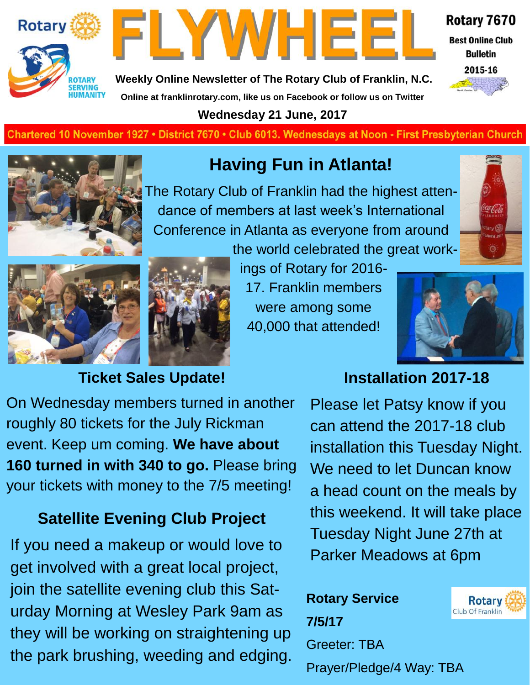



Rotary 7670

**Best Online Club Bulletin** 



**Weekly Online Newsletter of The Rotary Club of Franklin, N.C.**

**Online at franklinrotary.com, like us on Facebook or follow us on Twitter**

**Wednesday 21 June, 2017**

**Charted November 29, 1927 • District 7670 • Club 6013 Wednesdays at Noon - First Presbyterian Church**



## **Having Fun in Atlanta!**

The Rotary Club of Franklin had the highest attendance of members at last week's International Conference in Atlanta as everyone from around







ings of Rotary for 2016- 17. Franklin members were among some 40,000 that attended!



## **Ticket Sales Update!**

## **Installation 2017-18**

On Wednesday members turned in another roughly 80 tickets for the July Rickman event. Keep um coming. **We have about 160 turned in with 340 to go.** Please bring your tickets with money to the 7/5 meeting!

## **Satellite Evening Club Project**

If you need a makeup or would love to get involved with a great local project, join the satellite evening club this Saturday Morning at Wesley Park 9am as they will be working on straightening up the park brushing, weeding and edging.

Please let Patsy know if you can attend the 2017-18 club installation this Tuesday Night. We need to let Duncan know a head count on the meals by this weekend. It will take place Tuesday Night June 27th at Parker Meadows at 6pm

**Rotary Service 7/5/17** Greeter: TBA Prayer/Pledge/4 Way: TBA

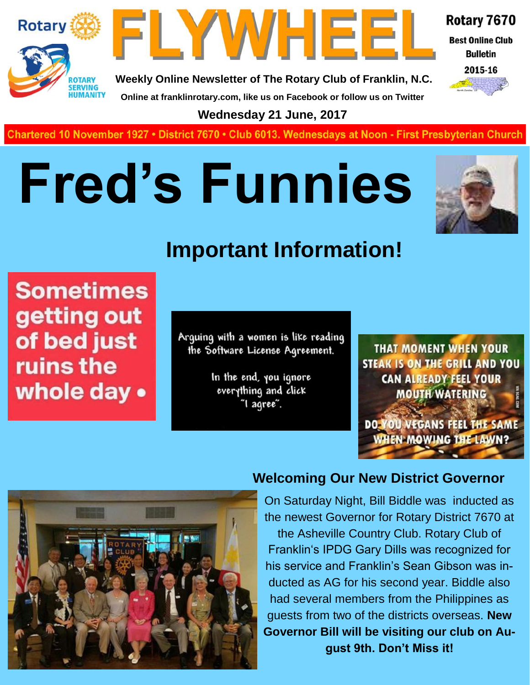



**Weekly Online Newsletter of The Rotary Club of Franklin, N.C. Online at franklinrotary.com, like us on Facebook or follow us on Twitter**

Rotary 7670

**Best Online Club Bulletin** 



**Wednesday 21 June, 2017**

**Charted November 29, 1927 • District 7670 • Club 6013 Wednesdays at Noon - First Presbyterian Church**

# **Fred's Funnies**



## **Important Information!**

**Sometimes** getting out of bed just ruins the whole day •

Arquing with a women is like reading the Software License Agreement.

> In the end, you ignore everything and click "I agree".

**THAT MOMENT WHEN YOUR STEAK IS ON THE GRILL AND YOU CAN ALREADY FEEL YOUR MOUTH WATERING** 

DO YOU VEGANS FEEL THE SAME **WHEN MOWING THE LAWN?** 



#### **Welcoming Our New District Governor**

On Saturday Night, Bill Biddle was inducted as the newest Governor for Rotary District 7670 at

the Asheville Country Club. Rotary Club of Franklin's IPDG Gary Dills was recognized for his service and Franklin's Sean Gibson was inducted as AG for his second year. Biddle also had several members from the Philippines as guests from two of the districts overseas. **New Governor Bill will be visiting our club on August 9th. Don't Miss it!**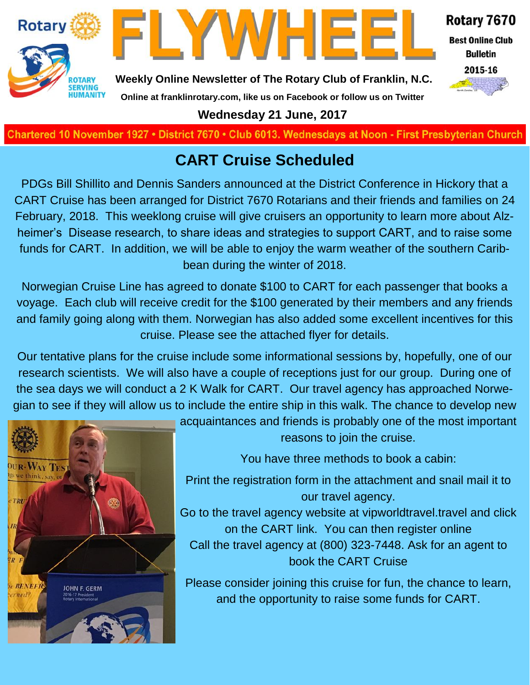



Rotary 7670

**Best Online Club Bulletin** 



**Weekly Online Newsletter of The Rotary Club of Franklin, N.C.**

### **Online at franklinrotary.com, like us on Facebook or follow us on Twitter**

**Wednesday 21 June, 2017**

**Charted November 29, 1927 • District 7670 • Club 6013 Wednesdays at Noon - First Presbyterian Church**

## **CART Cruise Scheduled**

PDGs Bill Shillito and Dennis Sanders announced at the District Conference in Hickory that a CART Cruise has been arranged for District 7670 Rotarians and their friends and families on 24 February, 2018. This weeklong cruise will give cruisers an opportunity to learn more about Alzheimer's Disease research, to share ideas and strategies to support CART, and to raise some funds for CART. In addition, we will be able to enjoy the warm weather of the southern Caribbean during the winter of 2018.

Norwegian Cruise Line has agreed to donate \$100 to CART for each passenger that books a voyage. Each club will receive credit for the \$100 generated by their members and any friends and family going along with them. Norwegian has also added some excellent incentives for this cruise. Please see the attached flyer for details.

Our tentative plans for the cruise include some informational sessions by, hopefully, one of our research scientists. We will also have a couple of receptions just for our group. During one of the sea days we will conduct a 2 K Walk for CART. Our travel agency has approached Norwegian to see if they will allow us to include the entire ship in this walk. The chance to develop new



acquaintances and friends is probably one of the most important reasons to join the cruise.

You have three methods to book a cabin:

Print the registration form in the attachment and snail mail it to our travel agency.

Go to the travel agency website at vipworldtravel.travel and click on the CART link. You can then register online Call the travel agency at (800) 323-7448. Ask for an agent to book the CART Cruise

Please consider joining this cruise for fun, the chance to learn, and the opportunity to raise some funds for CART.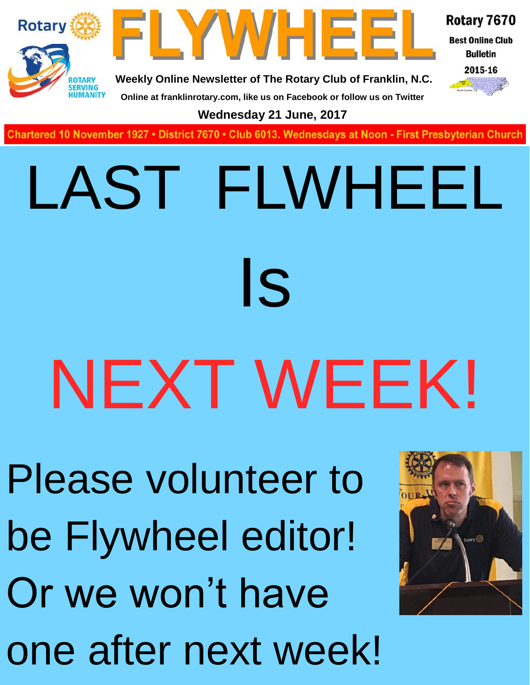

one after next week!